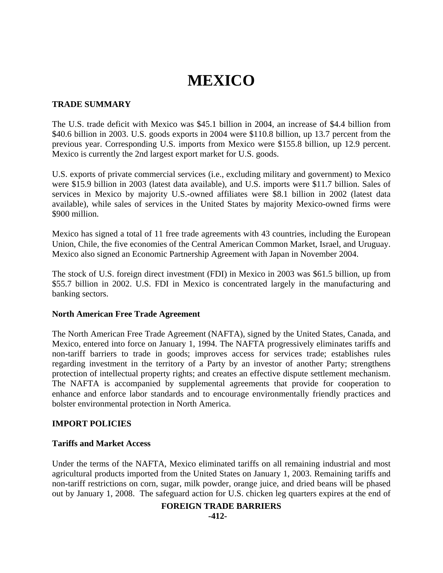# **MEXICO**

## **TRADE SUMMARY**

The U.S. trade deficit with Mexico was \$45.1 billion in 2004, an increase of \$4.4 billion from \$40.6 billion in 2003. U.S. goods exports in 2004 were \$110.8 billion, up 13.7 percent from the previous year. Corresponding U.S. imports from Mexico were \$155.8 billion, up 12.9 percent. Mexico is currently the 2nd largest export market for U.S. goods.

U.S. exports of private commercial services (i.e., excluding military and government) to Mexico were \$15.9 billion in 2003 (latest data available), and U.S. imports were \$11.7 billion. Sales of services in Mexico by majority U.S.-owned affiliates were \$8.1 billion in 2002 (latest data available), while sales of services in the United States by majority Mexico-owned firms were \$900 million.

Mexico has signed a total of 11 free trade agreements with 43 countries, including the European Union, Chile, the five economies of the Central American Common Market, Israel, and Uruguay. Mexico also signed an Economic Partnership Agreement with Japan in November 2004.

The stock of U.S. foreign direct investment (FDI) in Mexico in 2003 was \$61.5 billion, up from \$55.7 billion in 2002. U.S. FDI in Mexico is concentrated largely in the manufacturing and banking sectors.

#### **North American Free Trade Agreement**

The North American Free Trade Agreement (NAFTA), signed by the United States, Canada, and Mexico, entered into force on January 1, 1994. The NAFTA progressively eliminates tariffs and non-tariff barriers to trade in goods; improves access for services trade; establishes rules regarding investment in the territory of a Party by an investor of another Party; strengthens protection of intellectual property rights; and creates an effective dispute settlement mechanism. The NAFTA is accompanied by supplemental agreements that provide for cooperation to enhance and enforce labor standards and to encourage environmentally friendly practices and bolster environmental protection in North America.

## **IMPORT POLICIES**

## **Tariffs and Market Access**

Under the terms of the NAFTA, Mexico eliminated tariffs on all remaining industrial and most agricultural products imported from the United States on January 1, 2003. Remaining tariffs and non-tariff restrictions on corn, sugar, milk powder, orange juice, and dried beans will be phased out by January 1, 2008. The safeguard action for U.S. chicken leg quarters expires at the end of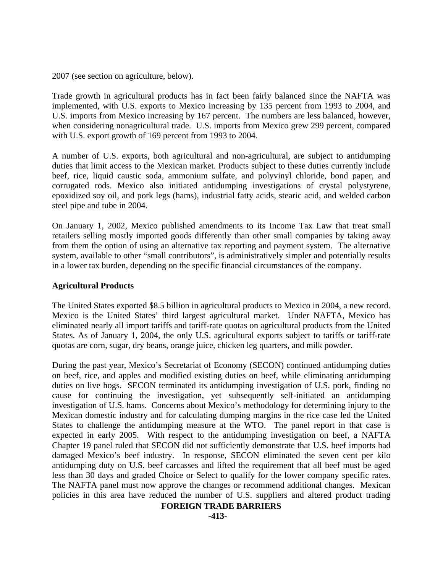2007 (see section on agriculture, below).

Trade growth in agricultural products has in fact been fairly balanced since the NAFTA was implemented, with U.S. exports to Mexico increasing by 135 percent from 1993 to 2004, and U.S. imports from Mexico increasing by 167 percent. The numbers are less balanced, however, when considering nonagricultural trade. U.S. imports from Mexico grew 299 percent, compared with U.S. export growth of 169 percent from 1993 to 2004.

A number of U.S. exports, both agricultural and non-agricultural, are subject to antidumping duties that limit access to the Mexican market. Products subject to these duties currently include beef, rice, liquid caustic soda, ammonium sulfate, and polyvinyl chloride, bond paper, and corrugated rods. Mexico also initiated antidumping investigations of crystal polystyrene, epoxidized soy oil, and pork legs (hams), industrial fatty acids, stearic acid, and welded carbon steel pipe and tube in 2004.

On January 1, 2002, Mexico published amendments to its Income Tax Law that treat small retailers selling mostly imported goods differently than other small companies by taking away from them the option of using an alternative tax reporting and payment system. The alternative system, available to other "small contributors", is administratively simpler and potentially results in a lower tax burden, depending on the specific financial circumstances of the company.

## **Agricultural Products**

The United States exported \$8.5 billion in agricultural products to Mexico in 2004, a new record. Mexico is the United States' third largest agricultural market. Under NAFTA, Mexico has eliminated nearly all import tariffs and tariff-rate quotas on agricultural products from the United States. As of January 1, 2004, the only U.S. agricultural exports subject to tariffs or tariff-rate quotas are corn, sugar, dry beans, orange juice, chicken leg quarters, and milk powder.

During the past year, Mexico's Secretariat of Economy (SECON) continued antidumping duties on beef, rice, and apples and modified existing duties on beef, while eliminating antidumping duties on live hogs. SECON terminated its antidumping investigation of U.S. pork, finding no cause for continuing the investigation, yet subsequently self-initiated an antidumping investigation of U.S. hams. Concerns about Mexico's methodology for determining injury to the Mexican domestic industry and for calculating dumping margins in the rice case led the United States to challenge the antidumping measure at the WTO. The panel report in that case is expected in early 2005. With respect to the antidumping investigation on beef, a NAFTA Chapter 19 panel ruled that SECON did not sufficiently demonstrate that U.S. beef imports had damaged Mexico's beef industry. In response, SECON eliminated the seven cent per kilo antidumping duty on U.S. beef carcasses and lifted the requirement that all beef must be aged less than 30 days and graded Choice or Select to qualify for the lower company specific rates. The NAFTA panel must now approve the changes or recommend additional changes. Mexican policies in this area have reduced the number of U.S. suppliers and altered product trading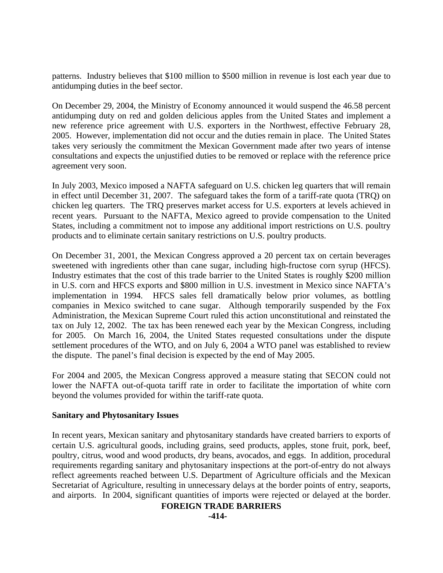patterns. Industry believes that \$100 million to \$500 million in revenue is lost each year due to antidumping duties in the beef sector.

On December 29, 2004, the Ministry of Economy announced it would suspend the 46.58 percent antidumping duty on red and golden delicious apples from the United States and implement a new reference price agreement with U.S. exporters in the Northwest, effective February 28, 2005. However, implementation did not occur and the duties remain in place. The United States takes very seriously the commitment the Mexican Government made after two years of intense consultations and expects the unjustified duties to be removed or replace with the reference price agreement very soon.

In July 2003, Mexico imposed a NAFTA safeguard on U.S. chicken leg quarters that will remain in effect until December 31, 2007. The safeguard takes the form of a tariff-rate quota (TRQ) on chicken leg quarters. The TRQ preserves market access for U.S. exporters at levels achieved in recent years. Pursuant to the NAFTA, Mexico agreed to provide compensation to the United States, including a commitment not to impose any additional import restrictions on U.S. poultry products and to eliminate certain sanitary restrictions on U.S. poultry products.

On December 31, 2001, the Mexican Congress approved a 20 percent tax on certain beverages sweetened with ingredients other than cane sugar, including high-fructose corn syrup (HFCS). Industry estimates that the cost of this trade barrier to the United States is roughly \$200 million in U.S. corn and HFCS exports and \$800 million in U.S. investment in Mexico since NAFTA's implementation in 1994. HFCS sales fell dramatically below prior volumes, as bottling companies in Mexico switched to cane sugar. Although temporarily suspended by the Fox Administration, the Mexican Supreme Court ruled this action unconstitutional and reinstated the tax on July 12, 2002. The tax has been renewed each year by the Mexican Congress, including for 2005. On March 16, 2004, the United States requested consultations under the dispute settlement procedures of the WTO, and on July 6, 2004 a WTO panel was established to review the dispute. The panel's final decision is expected by the end of May 2005.

For 2004 and 2005, the Mexican Congress approved a measure stating that SECON could not lower the NAFTA out-of-quota tariff rate in order to facilitate the importation of white corn beyond the volumes provided for within the tariff-rate quota.

## **Sanitary and Phytosanitary Issues**

In recent years, Mexican sanitary and phytosanitary standards have created barriers to exports of certain U.S. agricultural goods, including grains, seed products, apples, stone fruit, pork, beef, poultry, citrus, wood and wood products, dry beans, avocados, and eggs. In addition, procedural requirements regarding sanitary and phytosanitary inspections at the port-of-entry do not always reflect agreements reached between U.S. Department of Agriculture officials and the Mexican Secretariat of Agriculture, resulting in unnecessary delays at the border points of entry, seaports, and airports. In 2004, significant quantities of imports were rejected or delayed at the border.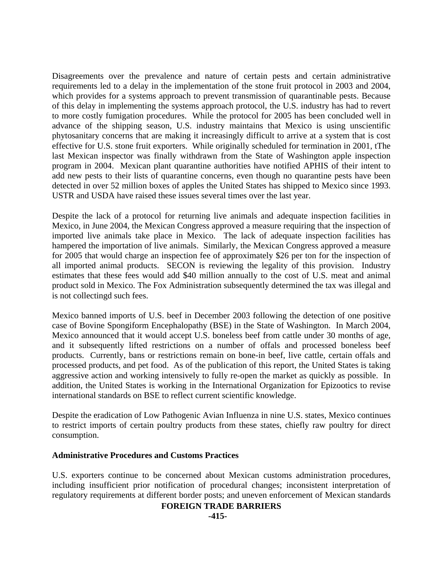Disagreements over the prevalence and nature of certain pests and certain administrative requirements led to a delay in the implementation of the stone fruit protocol in 2003 and 2004, which provides for a systems approach to prevent transmission of quarantinable pests. Because of this delay in implementing the systems approach protocol, the U.S. industry has had to revert to more costly fumigation procedures. While the protocol for 2005 has been concluded well in advance of the shipping season, U.S. industry maintains that Mexico is using unscientific phytosanitary concerns that are making it increasingly difficult to arrive at a system that is cost effective for U.S. stone fruit exporters. While originally scheduled for termination in 2001, tThe last Mexican inspector was finally withdrawn from the State of Washington apple inspection program in 2004. Mexican plant quarantine authorities have notified APHIS of their intent to add new pests to their lists of quarantine concerns, even though no quarantine pests have been detected in over 52 million boxes of apples the United States has shipped to Mexico since 1993. USTR and USDA have raised these issues several times over the last year.

Despite the lack of a protocol for returning live animals and adequate inspection facilities in Mexico, in June 2004, the Mexican Congress approved a measure requiring that the inspection of imported live animals take place in Mexico. The lack of adequate inspection facilities has hampered the importation of live animals. Similarly, the Mexican Congress approved a measure for 2005 that would charge an inspection fee of approximately \$26 per ton for the inspection of all imported animal products. SECON is reviewing the legality of this provision. Industry estimates that these fees would add \$40 million annually to the cost of U.S. meat and animal product sold in Mexico. The Fox Administration subsequently determined the tax was illegal and is not collectingd such fees.

Mexico banned imports of U.S. beef in December 2003 following the detection of one positive case of Bovine Spongiform Encephalopathy (BSE) in the State of Washington. In March 2004, Mexico announced that it would accept U.S. boneless beef from cattle under 30 months of age, and it subsequently lifted restrictions on a number of offals and processed boneless beef products. Currently, bans or restrictions remain on bone-in beef, live cattle, certain offals and processed products, and pet food. As of the publication of this report, the United States is taking aggressive action and working intensively to fully re-open the market as quickly as possible. In addition, the United States is working in the International Organization for Epizootics to revise international standards on BSE to reflect current scientific knowledge.

Despite the eradication of Low Pathogenic Avian Influenza in nine U.S. states, Mexico continues to restrict imports of certain poultry products from these states, chiefly raw poultry for direct consumption.

## **Administrative Procedures and Customs Practices**

U.S. exporters continue to be concerned about Mexican customs administration procedures, including insufficient prior notification of procedural changes; inconsistent interpretation of regulatory requirements at different border posts; and uneven enforcement of Mexican standards

## **FOREIGN TRADE BARRIERS**

**-415-**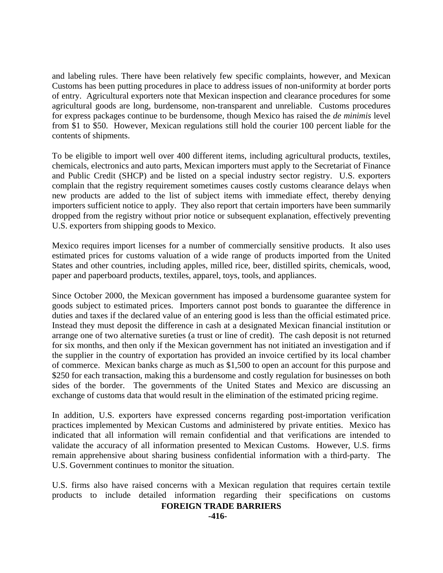and labeling rules. There have been relatively few specific complaints, however, and Mexican Customs has been putting procedures in place to address issues of non-uniformity at border ports of entry. Agricultural exporters note that Mexican inspection and clearance procedures for some agricultural goods are long, burdensome, non-transparent and unreliable. Customs procedures for express packages continue to be burdensome, though Mexico has raised the *de minimis* level from \$1 to \$50. However, Mexican regulations still hold the courier 100 percent liable for the contents of shipments.

To be eligible to import well over 400 different items, including agricultural products, textiles, chemicals, electronics and auto parts, Mexican importers must apply to the Secretariat of Finance and Public Credit (SHCP) and be listed on a special industry sector registry. U.S. exporters complain that the registry requirement sometimes causes costly customs clearance delays when new products are added to the list of subject items with immediate effect, thereby denying importers sufficient notice to apply. They also report that certain importers have been summarily dropped from the registry without prior notice or subsequent explanation, effectively preventing U.S. exporters from shipping goods to Mexico.

Mexico requires import licenses for a number of commercially sensitive products. It also uses estimated prices for customs valuation of a wide range of products imported from the United States and other countries, including apples, milled rice, beer, distilled spirits, chemicals, wood, paper and paperboard products, textiles, apparel, toys, tools, and appliances.

Since October 2000, the Mexican government has imposed a burdensome guarantee system for goods subject to estimated prices. Importers cannot post bonds to guarantee the difference in duties and taxes if the declared value of an entering good is less than the official estimated price. Instead they must deposit the difference in cash at a designated Mexican financial institution or arrange one of two alternative sureties (a trust or line of credit). The cash deposit is not returned for six months, and then only if the Mexican government has not initiated an investigation and if the supplier in the country of exportation has provided an invoice certified by its local chamber of commerce. Mexican banks charge as much as \$1,500 to open an account for this purpose and \$250 for each transaction, making this a burdensome and costly regulation for businesses on both sides of the border. The governments of the United States and Mexico are discussing an exchange of customs data that would result in the elimination of the estimated pricing regime.

In addition, U.S. exporters have expressed concerns regarding post-importation verification practices implemented by Mexican Customs and administered by private entities. Mexico has indicated that all information will remain confidential and that verifications are intended to validate the accuracy of all information presented to Mexican Customs. However, U.S. firms remain apprehensive about sharing business confidential information with a third-party. The U.S. Government continues to monitor the situation.

U.S. firms also have raised concerns with a Mexican regulation that requires certain textile products to include detailed information regarding their specifications on customs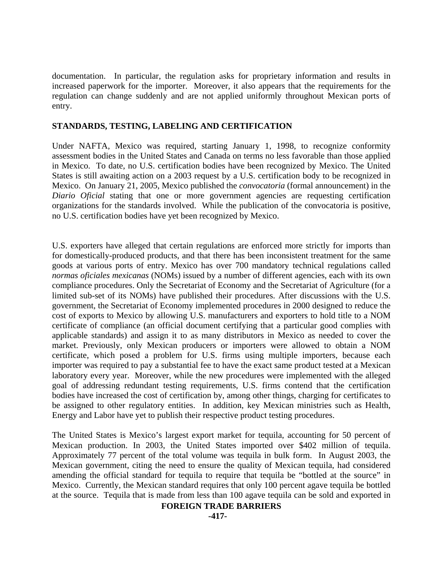documentation. In particular, the regulation asks for proprietary information and results in increased paperwork for the importer. Moreover, it also appears that the requirements for the regulation can change suddenly and are not applied uniformly throughout Mexican ports of entry.

## **STANDARDS, TESTING, LABELING AND CERTIFICATION**

Under NAFTA, Mexico was required, starting January 1, 1998, to recognize conformity assessment bodies in the United States and Canada on terms no less favorable than those applied in Mexico. To date, no U.S. certification bodies have been recognized by Mexico. The United States is still awaiting action on a 2003 request by a U.S. certification body to be recognized in Mexico. On January 21, 2005, Mexico published the *convocatoria* (formal announcement) in the *Diario Oficial* stating that one or more government agencies are requesting certification organizations for the standards involved. While the publication of the convocatoria is positive, no U.S. certification bodies have yet been recognized by Mexico.

U.S. exporters have alleged that certain regulations are enforced more strictly for imports than for domestically-produced products, and that there has been inconsistent treatment for the same goods at various ports of entry. Mexico has over 700 mandatory technical regulations called *normas oficiales mexicanas* (NOMs) issued by a number of different agencies, each with its own compliance procedures. Only the Secretariat of Economy and the Secretariat of Agriculture (for a limited sub-set of its NOMs) have published their procedures. After discussions with the U.S. government, the Secretariat of Economy implemented procedures in 2000 designed to reduce the cost of exports to Mexico by allowing U.S. manufacturers and exporters to hold title to a NOM certificate of compliance (an official document certifying that a particular good complies with applicable standards) and assign it to as many distributors in Mexico as needed to cover the market. Previously, only Mexican producers or importers were allowed to obtain a NOM certificate, which posed a problem for U.S. firms using multiple importers, because each importer was required to pay a substantial fee to have the exact same product tested at a Mexican laboratory every year. Moreover, while the new procedures were implemented with the alleged goal of addressing redundant testing requirements, U.S. firms contend that the certification bodies have increased the cost of certification by, among other things, charging for certificates to be assigned to other regulatory entities. In addition, key Mexican ministries such as Health, Energy and Labor have yet to publish their respective product testing procedures.

The United States is Mexico's largest export market for tequila, accounting for 50 percent of Mexican production. In 2003, the United States imported over \$402 million of tequila. Approximately 77 percent of the total volume was tequila in bulk form. In August 2003, the Mexican government, citing the need to ensure the quality of Mexican tequila, had considered amending the official standard for tequila to require that tequila be "bottled at the source" in Mexico. Currently, the Mexican standard requires that only 100 percent agave tequila be bottled at the source. Tequila that is made from less than 100 agave tequila can be sold and exported in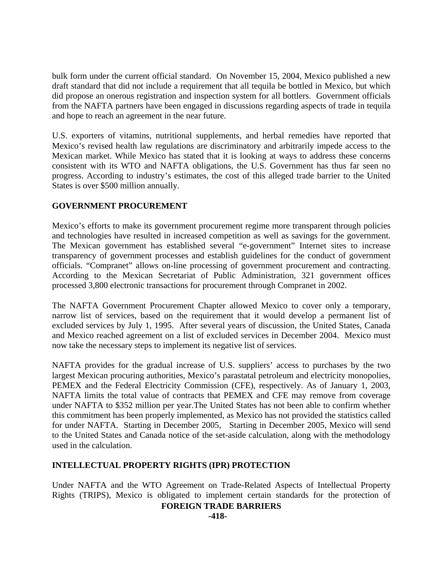bulk form under the current official standard. On November 15, 2004, Mexico published a new draft standard that did not include a requirement that all tequila be bottled in Mexico, but which did propose an onerous registration and inspection system for all bottlers. Government officials from the NAFTA partners have been engaged in discussions regarding aspects of trade in tequila and hope to reach an agreement in the near future.

U.S. exporters of vitamins, nutritional supplements, and herbal remedies have reported that Mexico's revised health law regulations are discriminatory and arbitrarily impede access to the Mexican market. While Mexico has stated that it is looking at ways to address these concerns consistent with its WTO and NAFTA obligations, the U.S. Government has thus far seen no progress. According to industry's estimates, the cost of this alleged trade barrier to the United States is over \$500 million annually.

## **GOVERNMENT PROCUREMENT**

Mexico's efforts to make its government procurement regime more transparent through policies and technologies have resulted in increased competition as well as savings for the government. The Mexican government has established several "e-government" Internet sites to increase transparency of government processes and establish guidelines for the conduct of government officials. "Compranet" allows on-line processing of government procurement and contracting. According to the Mexican Secretariat of Public Administration, 321 government offices processed 3,800 electronic transactions for procurement through Compranet in 2002.

The NAFTA Government Procurement Chapter allowed Mexico to cover only a temporary, narrow list of services, based on the requirement that it would develop a permanent list of excluded services by July 1, 1995. After several years of discussion, the United States, Canada and Mexico reached agreement on a list of excluded services in December 2004. Mexico must now take the necessary steps to implement its negative list of services.

NAFTA provides for the gradual increase of U.S. suppliers' access to purchases by the two largest Mexican procuring authorities, Mexico's parastatal petroleum and electricity monopolies, PEMEX and the Federal Electricity Commission (CFE), respectively. As of January 1, 2003, NAFTA limits the total value of contracts that PEMEX and CFE may remove from coverage under NAFTA to \$352 million per year.The United States has not been able to confirm whether this commitment has been properly implemented, as Mexico has not provided the statistics called for under NAFTA. Starting in December 2005, Starting in December 2005, Mexico will send to the United States and Canada notice of the set-aside calculation, along with the methodology used in the calculation.

## **INTELLECTUAL PROPERTY RIGHTS (IPR) PROTECTION**

Under NAFTA and the WTO Agreement on Trade-Related Aspects of Intellectual Property Rights (TRIPS), Mexico is obligated to implement certain standards for the protection of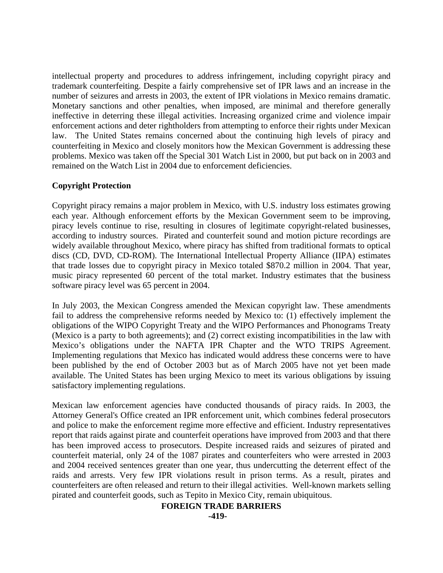intellectual property and procedures to address infringement, including copyright piracy and trademark counterfeiting. Despite a fairly comprehensive set of IPR laws and an increase in the number of seizures and arrests in 2003, the extent of IPR violations in Mexico remains dramatic. Monetary sanctions and other penalties, when imposed, are minimal and therefore generally ineffective in deterring these illegal activities. Increasing organized crime and violence impair enforcement actions and deter rightholders from attempting to enforce their rights under Mexican law. The United States remains concerned about the continuing high levels of piracy and counterfeiting in Mexico and closely monitors how the Mexican Government is addressing these problems. Mexico was taken off the Special 301 Watch List in 2000, but put back on in 2003 and remained on the Watch List in 2004 due to enforcement deficiencies.

## **Copyright Protection**

Copyright piracy remains a major problem in Mexico, with U.S. industry loss estimates growing each year. Although enforcement efforts by the Mexican Government seem to be improving, piracy levels continue to rise, resulting in closures of legitimate copyright-related businesses, according to industry sources. Pirated and counterfeit sound and motion picture recordings are widely available throughout Mexico, where piracy has shifted from traditional formats to optical discs (CD, DVD, CD-ROM). The International Intellectual Property Alliance (IIPA) estimates that trade losses due to copyright piracy in Mexico totaled \$870.2 million in 2004. That year, music piracy represented 60 percent of the total market. Industry estimates that the business software piracy level was 65 percent in 2004.

In July 2003, the Mexican Congress amended the Mexican copyright law. These amendments fail to address the comprehensive reforms needed by Mexico to: (1) effectively implement the obligations of the WIPO Copyright Treaty and the WIPO Performances and Phonograms Treaty (Mexico is a party to both agreements); and (2) correct existing incompatibilities in the law with Mexico's obligations under the NAFTA IPR Chapter and the WTO TRIPS Agreement. Implementing regulations that Mexico has indicated would address these concerns were to have been published by the end of October 2003 but as of March 2005 have not yet been made available. The United States has been urging Mexico to meet its various obligations by issuing satisfactory implementing regulations.

Mexican law enforcement agencies have conducted thousands of piracy raids. In 2003, the Attorney General's Office created an IPR enforcement unit, which combines federal prosecutors and police to make the enforcement regime more effective and efficient. Industry representatives report that raids against pirate and counterfeit operations have improved from 2003 and that there has been improved access to prosecutors. Despite increased raids and seizures of pirated and counterfeit material, only 24 of the 1087 pirates and counterfeiters who were arrested in 2003 and 2004 received sentences greater than one year, thus undercutting the deterrent effect of the raids and arrests. Very few IPR violations result in prison terms. As a result, pirates and counterfeiters are often released and return to their illegal activities. Well-known markets selling pirated and counterfeit goods, such as Tepito in Mexico City, remain ubiquitous.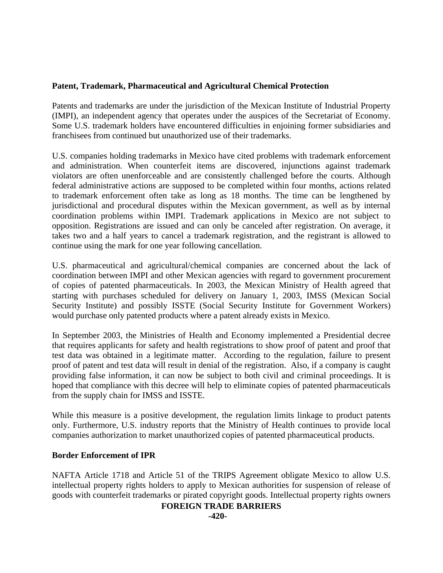## **Patent, Trademark, Pharmaceutical and Agricultural Chemical Protection**

Patents and trademarks are under the jurisdiction of the Mexican Institute of Industrial Property (IMPI), an independent agency that operates under the auspices of the Secretariat of Economy. Some U.S. trademark holders have encountered difficulties in enjoining former subsidiaries and franchisees from continued but unauthorized use of their trademarks.

U.S. companies holding trademarks in Mexico have cited problems with trademark enforcement and administration. When counterfeit items are discovered, injunctions against trademark violators are often unenforceable and are consistently challenged before the courts. Although federal administrative actions are supposed to be completed within four months, actions related to trademark enforcement often take as long as 18 months. The time can be lengthened by jurisdictional and procedural disputes within the Mexican government, as well as by internal coordination problems within IMPI. Trademark applications in Mexico are not subject to opposition. Registrations are issued and can only be canceled after registration. On average, it takes two and a half years to cancel a trademark registration, and the registrant is allowed to continue using the mark for one year following cancellation.

U.S. pharmaceutical and agricultural/chemical companies are concerned about the lack of coordination between IMPI and other Mexican agencies with regard to government procurement of copies of patented pharmaceuticals. In 2003, the Mexican Ministry of Health agreed that starting with purchases scheduled for delivery on January 1, 2003, IMSS (Mexican Social Security Institute) and possibly ISSTE (Social Security Institute for Government Workers) would purchase only patented products where a patent already exists in Mexico.

In September 2003, the Ministries of Health and Economy implemented a Presidential decree that requires applicants for safety and health registrations to show proof of patent and proof that test data was obtained in a legitimate matter. According to the regulation, failure to present proof of patent and test data will result in denial of the registration. Also, if a company is caught providing false information, it can now be subject to both civil and criminal proceedings. It is hoped that compliance with this decree will help to eliminate copies of patented pharmaceuticals from the supply chain for IMSS and ISSTE.

While this measure is a positive development, the regulation limits linkage to product patents only. Furthermore, U.S. industry reports that the Ministry of Health continues to provide local companies authorization to market unauthorized copies of patented pharmaceutical products.

## **Border Enforcement of IPR**

NAFTA Article 1718 and Article 51 of the TRIPS Agreement obligate Mexico to allow U.S. intellectual property rights holders to apply to Mexican authorities for suspension of release of goods with counterfeit trademarks or pirated copyright goods. Intellectual property rights owners

#### **FOREIGN TRADE BARRIERS**

**-420-**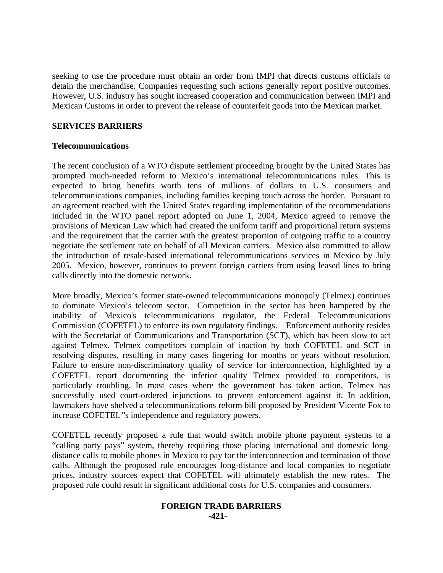seeking to use the procedure must obtain an order from IMPI that directs customs officials to detain the merchandise. Companies requesting such actions generally report positive outcomes. However, U.S. industry has sought increased cooperation and communication between IMPI and Mexican Customs in order to prevent the release of counterfeit goods into the Mexican market.

## **SERVICES BARRIERS**

## **Telecommunications**

The recent conclusion of a WTO dispute settlement proceeding brought by the United States has prompted much-needed reform to Mexico's international telecommunications rules. This is expected to bring benefits worth tens of millions of dollars to U.S. consumers and telecommunications companies, including families keeping touch across the border. Pursuant to an agreement reached with the United States regarding implementation of the recommendations included in the WTO panel report adopted on June 1, 2004, Mexico agreed to remove the provisions of Mexican Law which had created the uniform tariff and proportional return systems and the requirement that the carrier with the greatest proportion of outgoing traffic to a country negotiate the settlement rate on behalf of all Mexican carriers. Mexico also committed to allow the introduction of resale-based international telecommunications services in Mexico by July 2005. Mexico, however, continues to prevent foreign carriers from using leased lines to bring calls directly into the domestic network.

More broadly, Mexico's former state-owned telecommunications monopoly (Telmex) continues to dominate Mexico's telecom sector. Competition in the sector has been hampered by the inability of Mexico's telecommunications regulator, the Federal Telecommunications Commission (COFETEL) to enforce its own regulatory findings. Enforcement authority resides with the Secretariat of Communications and Transportation (SCT), which has been slow to act against Telmex. Telmex competitors complain of inaction by both COFETEL and SCT in resolving disputes, resulting in many cases lingering for months or years without resolution. Failure to ensure non-discriminatory quality of service for interconnection, highlighted by a COFETEL report documenting the inferior quality Telmex provided to competitors, is particularly troubling. In most cases where the government has taken action, Telmex has successfully used court-ordered injunctions to prevent enforcement against it. In addition, lawmakers have shelved a telecommunications reform bill proposed by President Vicente Fox to increase COFETEL''s independence and regulatory powers.

COFETEL recently proposed a rule that would switch mobile phone payment systems to a "calling party pays" system, thereby requiring those placing international and domestic longdistance calls to mobile phones in Mexico to pay for the interconnection and termination of those calls. Although the proposed rule encourages long-distance and local companies to negotiate prices, industry sources expect that COFETEL will ultimately establish the new rates. The proposed rule could result in significant additional costs for U.S. companies and consumers.

#### **FOREIGN TRADE BARRIERS -421-**